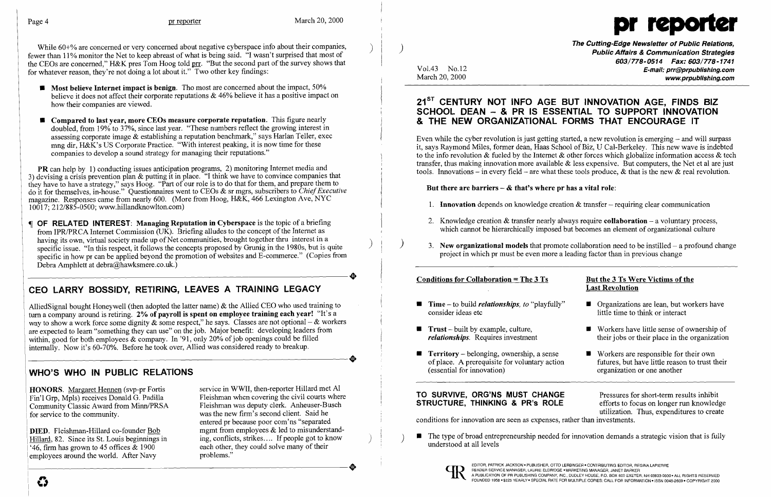

While 60+% are concerned or very concerned about negative cyberspace info about their companies, fewer than 11% monitor the Net to keep abreast of what is being said. "I wasn't surprised that most of the CEOs are concerned," H&K pres Tom Hoog told prr. "But the second part of the survey shows that for whatever reason, they're not doing a lot about it." Two other key findings:

- $\blacksquare$  Most believe Internet impact is benign. Tho most are concerned about the impact, 50% believe it does not affect their corporate reputations  $\&$  46% believe it has a positive impact on how their companies are viewed.
- **Compared to last year, more CEOs measure corporate reputation.** This figure nearly doubled, from 19% to 37%, since last year. "These numbers reflect the growing interest in assessing corporate image & establishing a reputation benchmark," says Harlan Teller, exec mng dir, H&K's US Corporate Practice. "With interest peaking, it is now time for these companies to develop a sound strategy for managing their reputations."

PR can help by 1) conducting issues anticipation programs, 2) monitoring Internet media and 3) devising a crisis prevention plan & putting it in place. "I think we have to convince companies that they have to have a strategy," says Hoog. "Part of our role is to do that for them, and prepare them to do it for themselves, in-house." Questionnaires went to CEOs & sr mgrs, subscribers to *ChiefExecutive*  magazine. Responses came from nearly 600. (More from Hoog, H&K, 466 Lexington Ave, NYC 10017; 212/885-0500; www.hillandknowlton.com)

DIED. Fleishman-Hillard co-founder Bob Hillard, 82. Since its St. Louis beginnings in '46, firm has grown to 45 offices & 1900 employees around the world. After Navy

The Cutting-Edge Newsletter of Public Relations, ) Public Affairs & Communication Strategies 603/778-0514 Fax: 603/778-1741 Vol.43 No.12 **E-mail: prr@prpublishing.com**<br>March 20, 2000 www.prpublishing.com

2. Knowledge creation  $\&$  transfer nearly always require **collaboration**  $-$  a voluntary process, which cannot be hierarchically imposed but becomes an element of organizational culture

3. New organizational models that promote collaboration need to be instilled  $-$  a profound change

 OF RELATED INTEREST: Managing Reputation in Cyberspace is the topic of a briefing from IPR/PRCA Internet Commission  $\overline{(UK)}$ . Briefing alludes to the concept of the Internet as having its own, virtual society made up of Net communities, brought together thru interest in a specific issue. "In this respect, it follows the concepts proposed by Grunig in the 1980s, but is quite specific in how pr can be applied beyond the promotion of websites and E-commerce." (Copies from -----------------------. Debra Amphlett at debra@hawksmere.co.uk.)

## 21<sup>ST</sup> CENTURY NOT INFO AGE BUT INNOVATION AGE, FINDS BIZ SCHOOL DEAN - & PR IS ESSENTIAL TO SUPPORT INNOVATION & THE NEW ORGANIZATIONAL FORMS THAT ENCOURAGE IT

Even while the cyber revolution is just getting started, a new revolution is emerging  $-$  and will surpass it, says Raymond Miles, former dean, Haas School of Biz, U Cal-Berkeley. This new wave is indebted to the info revolution  $\&$  fueled by the Internet  $\&$  other forces which globalize information access  $\&$  tech transfer, thus making innovation more available & less expensive. But computers, the Net et al are just tools. Innovations – in every field – are what these tools produce, & that is the new  $\&$  real revolution.

### But there are barriers  $-\&$  that's where pr has a vital role:

# CEO LARRY BOSSIDY, RETIRING, LEAVES A TRAINING LEGACY

- 1. **Innovation** depends on knowledge creation  $\&$  transfer requiring clear communication
- 
- project in which pr must be even more a leading factor than in previous change

### Conditions for Collaboration =  $The 3 Ts$

AlliedSignal bought Honeywell (then adopted the latter name) & the Allied CEO who used training to turn a company around is retiring. 2% of payroll is spent on employee training each year! "It's a way to show a work force some dignity  $\&$  some respect," he says. Classes are not optional –  $\&$  workers are expected to learn "something they can use" on the job. Major benefit: developing leaders from within, good for both employees & company. In '91, only 20% of job openings could be filled<br>internally. Now it's 60-70%. Before he took over, Allied was considered ready to breakup. internally. Now it's 60-70%. Before he took over, Allied was considered ready to breakup.

- **E** Time to build *relationships, to "playfully"* consider ideas etc
- $\blacksquare$  Trust built by example, culture, *relationships.* Requires investment
- $\blacksquare$  Territory belonging, ownership, a sense of place. A prerequisite for voluntary action (essential for innovation)

- $\Box$  Organizations are lean, but workers have little time to think or interact
- $\blacksquare$  Workers have little sense of ownership of their jobs or their place in the organization
- $\blacksquare$  Workers are responsible for their own futures, but have little reason to trust their organization or one another

## WHO'S WHO IN PUBLIC RELATIONS

HONORS. Margaret Hennen (svp-pr Fortis Fin'l Grp, Mpls) receives Donald G. Padilla Community Classic Award from Minn/PRSA for service to the community.

TO SURVIVE, ORG'NS MUST CHANGE<br>STRUCTURE, THINKING & PR's ROLE efforts to focus on longer run knowledge STRUCTURE, THINKING & PR's ROLE utilization. Thus, expenditures to create conditions for innovation are seen as expenses, rather than investments.

• The type of broad entrepreneurship needed for innovation demands a strategic vision that is fully understood at all levels



service in WWII, then-reporter Hillard met Al Fleishman when covering the civil courts where Fleishman was deputy clerk. Anheuser-Busch was the new firm's second client. Said he entered pr because poor com'ns "separated mgmt from employees & led to misunderstanding, conflicts, strikes.... If people got to know each other, they could solve many of their problems."

### But the 3 Ts Were Victims of the Last Revolution



I